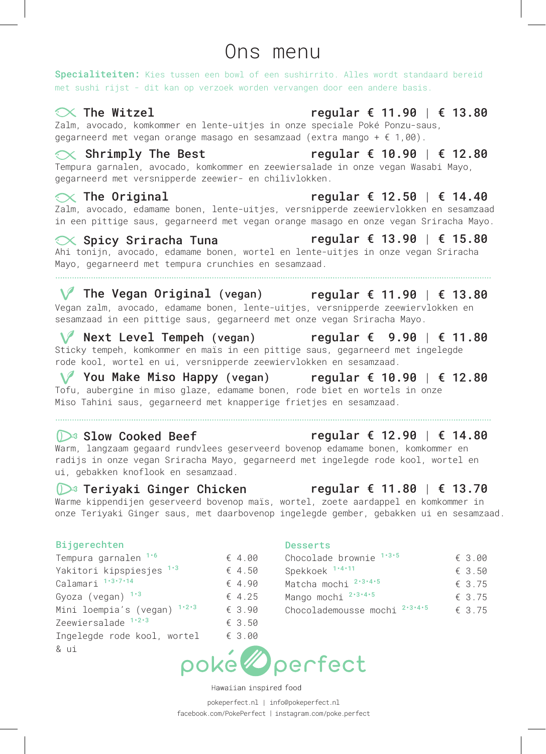#### our menu Please choose between a bowl or a sushirrito. All signatures come with sushi rice Ons menu our menuited upon the substituted upon request. As a base of the substituted upon requested upon requested upo<br>Contract upon requests and the substituted upon requests. In this menuited upon requests are the substituted u

Specialiteiten: Kies tussen een bowl of een sushirrito. Alles wordt standaard bereid<br>met sushi rijst - dit kan op verzoek worden vervangen door een andere basis. .<br>met sushi rijst - dit kan op verzoek worden vervangen door een andere basis. met sushi rijst - dit kan op verzoek worden vervangen door een andere as a base - this may be substituted upon request. **Specialiteiten:** Kies tussen een bowl of een sushirrito. Alles wordt<br>met sushi rijst - dit kan op verzoek worden vervangen door een andere

# $\sim$  The Witzel regular  $\epsilon$  11.

# $\infty$  The Witzel expansion of the regular  $\epsilon$  11.90 |  $\epsilon$  13.80

Zalm, avocado, komkommer en lente-uitjes in onze speciale Poké Ponzu-saus, Ahi tuna, avocado, carrots, edamame beans and spring onion topped off with tempura gegarance of methods communicate the contract of the contract of the second extra mange  $\theta$  of  $\theta$  (extra mange  $\theta$ ).  $\mathcal{R}$  The Witzel regular  $\mathbf{t}$  11.90 |  $\mathbf{t}$  13.86  $\mathbb{Z}$ alm, avocado, komkommer en lente-uitjes in onze speciale Poké Ponzu-saus,<br>degarneerd met vegan orange masago en sesamzaad (extra mango + f 1.00) gegarneerd met vegan orange masago en sesamzaad (extra mango + € 1,00).

#### $\propto$  Shrimply The Best egular  $\epsilon$  10.90 |  $\epsilon$  12.80  $\propto$  Shrimply The Best regular  $\epsilon$  10.  $\sim$  currently the beat

SITE DESLEM TEGULAT & 10.90 | & 12.00<br>Tempura garnalen, avocado, komkommer en zeewiersalade in onze vegan Wasabi Mayo,<br>gegarneerd met versnipperde zeewier- en chilivlokken. degarner and the version of the service of the control of the control of the control of the control of the control of the control of the control of the control of the control of the control of the control of the control of onr**imply file best**<br>Tempura garnalen, avocado, komkommer en zeewiersalade in onze vegan<br>gegarneerd met versnipperde zeewier- en chilivlokken. Tempura garnalen, avocado, komkommer en zeewiersalade in onze vegan Wasabi Mayo,<br>gegarneerd met versnipperde zeewier- en chilivlokken.

#### $\propto$  The Original  $\qquad \qquad$  regular € 12.50 | € 14.40  $\propto$  The Original example of the regular  $\epsilon$  12.  $\sim$  rie or againame beans and regular to reduce

Zalm, avocado, edamame bonen, lente-uitjes, versnipperde zeewiervlokken en sesamzaad in een pittige saus, gegarneerd met vegan orange masago en onze vegan Sriracha Mayo.<br>
Contaer Origens Line Time and the Contaer of 12.00 | 6.15.90  $\propto$  The Original external and the UV.:<br>Zalm, avocado, edamame bonen, lente-uitjes, versnipperde zeewiervlo Ahi tuna, avocado, carrots, edamame beans and spring onion topped off with tempura caim, avocauo, eudmane bonen, iente-uitjes, regular € 12.50 | € 14.40<br>Zalm, avocado, edamame bonen, lente-uitjes, versnipperde zeewiervlokken en sesamzaa Zalm, avocado, edamame bonen, lente-uitjes, versnipperde zeewiervlokken en sesamzaa  $\sim$  rie Original and regular  $\epsilon$  is  $z$ .<br>Zalm, avocado, edamame bonen, lente-uitjes, versnipperde zeewiervlok as con preerge base, geganneerd mee vege crunchies, sesame seeds and our Sriracha Mayo sauce Wasabi Crab regular € 10.50 | € 12.40 Shrimp Sensation regular € 11.50 | large € 13.40 Please choose between a bowl or a sushirrito. All signatures come with sushi rice Our menu Zalm, avocado, edamame

### $\ll$  Spicy Sriracha Tuna  $\qquad \qquad$  regular  $\epsilon$  13.90 |  $\epsilon$  15.80 ◯ Spicy Sriracha Tuna regular € 13.90 | € 15.80

Ahi tonijn, avocado, edamame bonen, wortel en lente-uitjes in onze vegan Sriracha Ani tonijn, avocado, edamame bonen, worter en rente-drijes in onze vegan sriracna<br>Mayo, gegarneerd met tempura crunchies en sesamzaad. Smoked chicken, carrots, sprouts and pineapple topped off with toasted almonds, Negular **t is.90 |** regular t is.90 |<br>Ahi tonijn, avocado, edamame bonen, wortel en lente-uitjes in onze vegam Shrimp Sensation regular € 11.50 | large € 13.40 Shrimp, avocado, cucumber, red onion and orange masago topped off with basil Shrimp Sensation regular € 11.50 | € 13.40 The Witzel regular € 10.50 | large € 12.40 Spicy marinated salmon, avocado, edamame beans, spring onion, roasted seaweed seeds and our signature Poké Ponzu sauce (add mango €1.00) as a base - this may be substituted upon request.

## sesame seeds and our Classic Soy Ginger sauce Spicy marinated salmon, avocado, edamame beans, spring onion, roasted seaweed Shrimp Sensation regular € 11.50 | large € 13.40 Shrimp, avocado, cucumber, red onion and orange masago topped off with basil Wasabi Crab regular € 10.50 | large € 12.40 Sriracha Spicy Tuna regular € 12.50 | large € 14.40 Shrimp, avocado, cucumber, red onion and orange masago topped off with basil Spicy marinated salmon, avocado, edamame beans, spring onion, roasted seaweed seeds and our signature Poké Ponzu sauce (add mango €1.00) Please choose between a bowl or a sushirrito. All signatures come with sushi rice Smoked chicken, carrots, sprouts and pineapple topped off with toasted almonds, Spicy marinated salmon, avocado, edamame beans, spring onion, roasted seaweed Shrimp Sensation regular € 11.50 | large € 13.40 Wasabi Crab regular € 10.50 | large € 12.40 Sriracha Spicy Tuna regular € 12.50 | large € 14.40 Shrimp, avocado, cucumber, red onion and orange masago topped off with basil

V The Vegan Original (vegan) regular € 11.90 | € 13.80  $V = V = V = V = V$ .<br>
Yegan zahodo, edamare bonen, lente-uitjes, versnipperde zeewiervlokken en<br>
encommend in oon pitties over encourage and principal stress versnipperde zeewiervlokken en with crunchy once with crunchy only almon, carrier almong the chicken. sesamzaad in een pittige saus, gegarneerd met onze vegan Sriracha V The Vegan Original (vegan) regular € 11.90 | € 13.80 flakes and sesame seeds topped off with orange masago and our Sriracha Mayo sauce segan carrier and pineapple to carrots, sprouts and pineapple to the pineapple of the second with the second with the second with the second with the second with the second with the second with the second with the second w regun Laim, avocado, cuamame bonen, iente ditjeo, veronipperae Lee<br>sesamzaad in een pittige saus, gegarneerd met onze vegan Sriracha sesamzaad in een pittige saus, gegarneerd met onze vegan Sriracha Mayo. vegan zaim, avocado, cuamame bonen, iente ditjes, versnipperde zeemierviokken en<br>sesamzaad in een pittige saus, gegarneerd met onze vegan Sriracha Mayo. **√** The Vegan Original (vegan) regular € 11.90 | € 13.80 Shrimp, avocado, cucumber, red onion and orange masago topped off with basil  $\sqrt{\ }$  The Vegan Original (vegan) regular  $\epsilon$  11.90 sesame seeds and our Classic Soy Ginger sauce Wasabi Crab regular € 10.50 | large € 12.40 seeds and our signature Poké Ponzu sauce (add mango €1.00) Vegan zalm, avocado, edamame bonen, lente-uitjes, versnipperde zee

#### V Next Level Tempeh (vegan) regular € 9.90 | € 11.80 **V** Next Level Tempen (vegan) regular  $\epsilon$  9.90 |  $\epsilon$  11.80<br>Sticky tempeh, komkommer en mais in een pittige saus, gegarneerd met ingelegde W Next Level Tempeh (vegan) regular  $\epsilon$  9.90 |  $\epsilon$  11.80 V Next Level Tempeh (vegan) regular € 9.90 | € 11.8 flakes and sesame seeds topped off with orange masago and our Sriracha Mayo sauce  $\mathcal{S}_{\mathcal{A}}$  marinated salmon, avocado, edam $\mathcal{S}_{\mathcal{A}}$

Sticky tempeh, komkommer en maïs in een pittige saus, gegarneerd met ingelegde rode kool, wortel en ui, versnipperde zeewiervlokken en sesamzaad. Sticky tempen, komkommer en mais in een pittige saus, gegarneerd m<br>rode kool, wortel en ui, versnipperde zeewiervlokken en sesamzaad. rode kool, wortel en ui, versnipperde zewiervlokken en sesamzaad.<br>1986 - Alexandr Britannich (m. 1988)<br>1986 - Alexandr Gallenny, (m. 1990) sticky tempen, komkommer en mais in een pi

### You Make Miso Happy (vegan) regular  $\epsilon$  10.90 |  $\epsilon$  12.80 V You Make Miso Happy (vegan) regular € 10.90 | € 12.80

Totu, aubergine in miso glaze, edamame bonen, rode biet en wortels in onze Miso Tahini saus, gegarneerd met knapperige frietjes en sesamzaad. To the rise in the property (vegality of the right of  $\sim$  10.90  $\pm$  1<br>Tofu, authorities in miso glaze, edamane bonen, rode biet en wortels in onze

### $\mathbb{D}^3$  Slow Cooked Beef regular  $\epsilon$  12. <del>1999</del><br>12.96 Slow Cooked Beef regular €

 $\frac{1}{2}$   $\frac{1}{2}$   $\frac{1}{2}$   $\frac{1}{2}$   $\frac{1}{2}$   $\frac{1}{2}$   $\frac{1}{2}$   $\frac{1}{2}$   $\frac{1}{2}$   $\frac{1}{2}$   $\frac{1}{2}$   $\frac{1}{2}$   $\frac{1}{2}$   $\frac{1}{2}$   $\frac{1}{2}$   $\frac{1}{2}$   $\frac{1}{2}$   $\frac{1}{2}$   $\frac{1}{2}$   $\frac{1}{2}$   $\frac{1}{2}$   $\frac{1}{2}$  radijs in onze vegan Sriracha Mayo, gegarneerd met ingelegde rode kool, wortel en radijs in onze vegan Sriracha Mayo, gegarneerd met ingelegde rode k<br>ui, gebakken knoflook en sesamzaad.  $\mathbb{R}^2$  , which is a soup  $\mathbb{R}^2$  , we have the soup  $\mathbb{R}^2$  , we have the soup  $\mathbb{R}^2$ crispy to the critical potator of the completed of personal personal personal personal personal personal personal personal personal personal personal personal personal personal personal personal personal personal personal Mission souper experimental continuous continuous continuous continuous continuous continuous continuous continuous continuous continuous continuous continuous continuous continuous continuous continuous continuous continu U<sup>23</sup> Slow Cooked Beet<br>Warm, langzaam gegaard rundvlees geserveerd bovenop edamame bonen, komkommer en radijs in onze vegan Sriracha Mayo, gegarneerd met ingelegde rode kool, wortel en

#### D<sup>3</sup> Teriyaki Ginger Chicken regular € 11.80 | € 13.70  $\overbrace{D^3}$  Teriyaki Ginger Chicken egular € 11.80

Warme kippendijen geserveerd bovenop maïs, wortel, zoete aardappel en komkommer in onze Teriyaki Ginger saus, met daarbovenop ingelegde gember, gebakken ui en sesamzaad. Warme kippendijen geserveerd bovenop mais, wortel, zoete aardappel en komkommer in cruich is the session of the session set of the session set of the session set of the set of the set of the se Marine Rippendrjen gesetvesta Bovenop mari, horter, 200te dardapper<br>onze Teriyaki Ginger saus, met daarbovenop ingelegde gember, gebak Steamed edamame beans € 3.00 warme kippenuijen geserveerd bovenop mais, wortei, zoete aardappel en komkommer li<br>onze Teriyaki Ginger saus, met daarbovenop ingelegde gember, gebakken ui en sesamz Tempeh marinated in ginger and soy sauce, roasted broccoli, red cabbage and edamame beans topped off with roasted seaweed flakes, sesame seeds and our Sesame Me sauce  $\mathcal{L}$  ,  $\mathcal{L}$  ,  $\mathcal{L}$  ,  $\mathcal{L}$  ,  $\mathcal{L}$  ,  $\mathcal{L}$  ,  $\mathcal{L}$  ,  $\mathcal{L}$  ,  $\mathcal{L}$  ,  $\mathcal{L}$ Steam of the senger beast, mot eddingerence ingeregae gember, geban warme kippenaijen geserveera bovenop

#### Bijgerechten Desserts Seaweed salad  $S$  3.500  $\pm$  3.500  $\pm$  3.500  $\pm$  3.500  $\pm$  3.500  $\pm$  3.500  $\pm$  3.500  $\pm$  3.500  $\pm$  3.500  $\pm$ Crispy tofu, sweet potato, mushrooms, carrots, bell pepper and zucchini topped off with crunchy onion, sesame seeds and our Sesame Me sauce

 $\begin{array}{llll}\n\text{Calamari} & \text{Lip} & \text{Lip} \\
\text{Calamari} & \text{Lip} & \text{Lip} \\
\text{Calamari} & \text{Lip} & \text{Lip} \\
\text{Calamari} & \text{Lip} & \text{Lip} \\
\text{Calamari} & \text{Lip} & \text{Lip} \\
\text{Calamari} & \text{Lip} & \text{Lip} \\
\text{Calamari} & \text{Lip} & \text{Lip} \\
\text{Calamari} & \text{Lip} & \text{Lip} \\
\text{$ Gyoza (vegan)  $1^{3}$   $\qquad \qquad$   $\qquad$   $\qquad$   $\qquad$   $\qquad$   $\qquad$   $\qquad$   $\qquad$   $\qquad$   $\qquad$   $\qquad$   $\qquad$   $\qquad$   $\qquad$   $\qquad$   $\qquad$   $\qquad$   $\qquad$   $\qquad$   $\qquad$   $\qquad$   $\qquad$   $\qquad$   $\qquad$   $\qquad$   $\qquad$   $\qquad$   $\qquad$   $\qquad$   $\qquad$   $\qquad$   $\qquad$   $\qquad$ Mini loempia's (vegan)  $1 \cdot 2 \cdot 3$   $\qquad 4 \cdot 2 \cdot 3$  mango mochi  $2 \cdot 3 \cdot 4$ <br>Mini loempia's (vegan)  $1 \cdot 2 \cdot 3$   $\qquad \qquad$  Chocolademousse mochi  $2 \cdot 3 \cdot 4$  $\frac{1}{2}$  CONSTRUCTED CONSTRUCTED CONSTRUCTED SUPPORT CONSTRUCTED SUPPORT FOR SAFEKING SUPPORT FOR SAFEKING SUPPORT FOR SAFEKING SUPPORT FOR SAFEKING SUPPORT FOR SAFEKING SUPPORT FOR SAFEKING SUPPORT FOR SAFEKING SUPPORT  $\text{Lepwler}\$  salade control = € 3.50<br>Ingelegde rode kool, wortel = € 3.00 & ui Proposed by the calendar C + 1.60 concorded by the Calendari 1.3.7.14  $\epsilon$  4.50 Spekkoek 1.4.11 calendari 1.3.7.14  $\epsilon$  4.90 Matcha mochi  $2.3.4.5$ <br>Gyoza (vegan) 1.3  $\epsilon$  4.25 Mango mochi  $2.3.4.5$ Steamed edamament salad edamamented cucumber salad edamamented salad entre salad entre salad entre salad entre s<br>Steamented salad entre salad entre salad entre salad entre salad entre salad entre salad entre salad entre s Calamari  $1^{13 \cdot 7 \cdot 14}$  € 4.90 Matcha mochi  $2^{13 \cdot 4 \cdot 5}$ erfect Side Dishert Side Dishert Side Dishert Side Dishert Side Dishert Side Dishert Side Dishert Side Dishert Side Dishert Side Dishert Side Dishert Side Dishert Side Dishert Side Dishert Side Dishert Side Dishert Side Di  $\epsilon$  4.50 marinated cucumber salad  $\sim$  3.000  $\pm$  3.000  $\pm$  3.000  $\pm$  3.000  $\pm$  3.000  $\pm$  3.000  $\pm$  3.000  $\pm$  3.000  $\pm$ engelegee heed heel, het<br>& ui

### Desserts Desserts

| besser ts                                          |
|----------------------------------------------------|
| Chocolade brownie $1.3.5$<br>$\epsilon$ 3.00       |
| Spekkoek <sup>1.4.11</sup><br>$\epsilon$ 3.50      |
| Matcha mochi $2.3.4.5$<br>$\epsilon$ 3.75          |
| Mango mochi $2.3.4.5$<br>$\epsilon$ 3.75           |
| Chocolademousse mochi $2.3.4.5$<br>$\epsilon$ 3.75 |
|                                                    |



 $M$ arinated cucha  $\frac{1}{2}$ Hawaiian inspired food

pokeperfect.nl | info@pokeperfect.nl facebook.com/PokePerfect | instagram.com/poke.perfect

#### Perfect Side Dish BYOB (Build Your Own...) Tamari Tempeh (vegan) regular € 10.50 | large € 12.40 flakes and sesame seeds topped off with orange masago and our Sriracha Mayo sauce Tamari Tempeh (vegan) regular € 10.50 | large € 12.40 BYOB (Build Your Own...) flakes and sesame seeds topped off with orange masago and our Sriracha Mayo sauce Shrimp Sensation regular € 11.50 | large € 13.40 Perfect Side Dish BYOB (Build Your Own...) Tamari Tempeh (vegan) regular € 10.50| large€ 12.40 flakes and sesame seeds topped off with orange masago and our Sriracha Mayo sauce Tamari Tempeh (vegan) regular € 10.50 | large € 12.40 Spicy marinated vegan salmon, avocado, edamame beans, spring onion roasted seaweed BYOB (Build Your Own...) Spicy marinated salmon, avocado, edamame beans, spring onion, roasted seaweed Shrimp, avocado, cucumber, red onion and orange masago topped off with basil Soy Joy (vegan) regular € 9.50 | large € 11.40  $S_{\rm eff}$  avocado, cucumber, red onion and orange mass  $r$

# regular € 12.90 | € 14.80

# Tamari Tempeh (vegan) regular € 10.50 | € 12.40 Soy Joy (vegan) regular € 9.50 | large € 11.40

Spicy Sriracha Tuna regular € 13.90 | € 15.80